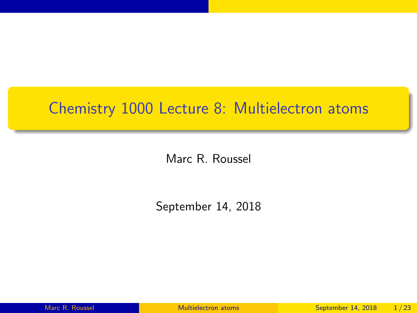## <span id="page-0-0"></span>Chemistry 1000 Lecture 8: Multielectron atoms

Marc R. Roussel

September 14, 2018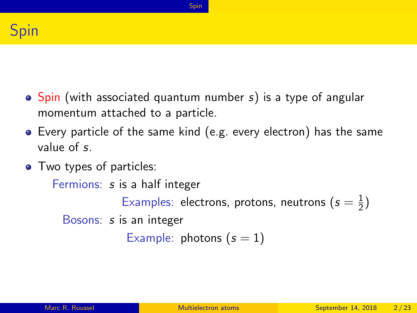<span id="page-1-0"></span>

 $\bullet$  Spin (with associated quantum number s) is a type of angular momentum attached to a particle.

[Spin](#page-1-0)

- Every particle of the same kind (e.g. every electron) has the same value of s.
- Two types of particles:

Fermions: s is a half integer

Examples: electrons, protons, neutrons ( $s=\frac{1}{2}$  $\frac{1}{2}$ 

Bosons: s is an integer

Example: photons  $(s = 1)$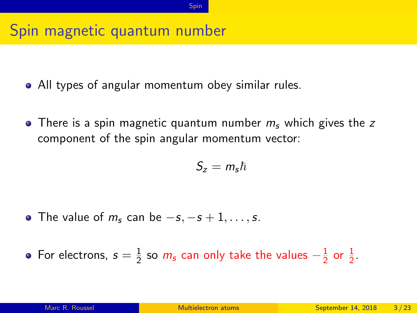# Spin magnetic quantum number

- All types of angular momentum obey similar rules.
- There is a spin magnetic quantum number  $m<sub>s</sub>$  which gives the z component of the spin angular momentum vector:

$$
S_z=m_s\hbar
$$

• The value of  $m_s$  can be  $-s$ ,  $-s+1$ , ..., s.

For electrons,  $s=\frac{1}{2}$  $\frac{1}{2}$  so  $m_{\mathsf{s}}$  can only take the values  $-\frac{1}{2}$  $rac{1}{2}$  or  $rac{1}{2}$ .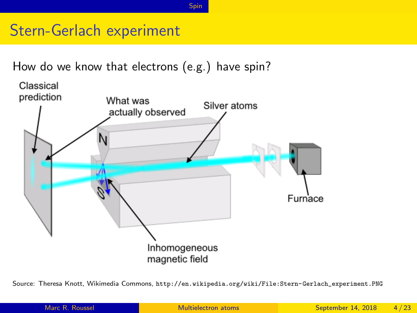[Spin](#page-1-0)

# Stern-Gerlach experiment

How do we know that electrons (e.g.) have spin?



Source: Theresa Knott, Wikimedia Commons, [http://en.wikipedia.org/wiki/File:Stern-Gerlach\\_experiment.PNG](http://en.wikipedia.org/wiki/File:Stern-Gerlach_experiment.PNG)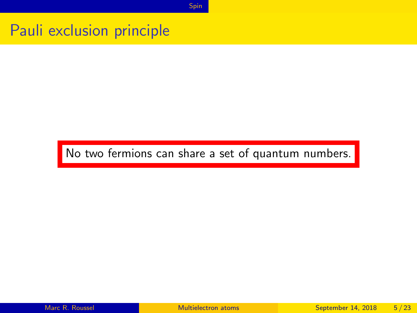[Spin](#page-1-0)

#### Pauli exclusion principle

#### No two fermions can share a set of quantum numbers.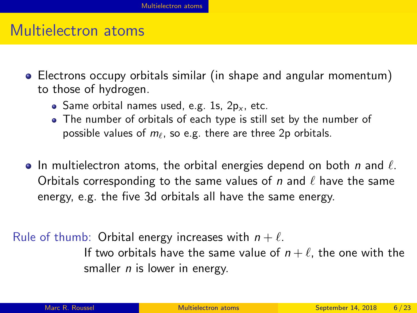## <span id="page-5-0"></span>Multielectron atoms

- Electrons occupy orbitals similar (in shape and angular momentum) to those of hydrogen.
	- Same orbital names used, e.g. 1s,  $2p_x$ , etc.
	- The number of orbitals of each type is still set by the number of possible values of  $m_\ell$ , so e.g. there are three 2p orbitals.
- $\bullet$  In multielectron atoms, the orbital energies depend on both n and  $\ell$ . Orbitals corresponding to the same values of n and  $\ell$  have the same energy, e.g. the five 3d orbitals all have the same energy.

Rule of thumb: Orbital energy increases with  $n + \ell$ . If two orbitals have the same value of  $n + \ell$ , the one with the smaller  $n$  is lower in energy.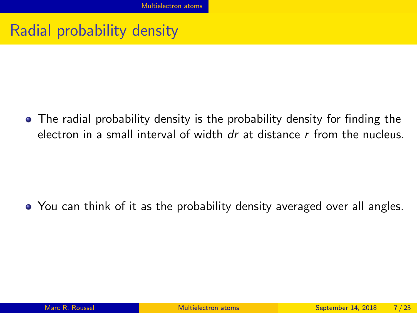# Radial probability density

• The radial probability density is the probability density for finding the electron in a small interval of width  $dr$  at distance  $r$  from the nucleus.

• You can think of it as the probability density averaged over all angles.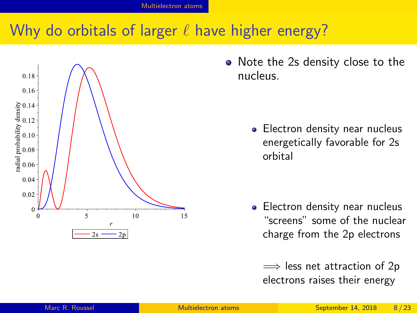# Why do orbitals of larger  $\ell$  have higher energy?



• Note the 2s density close to the nucleus.

> • Electron density near nucleus energetically favorable for 2s orbital

• Electron density near nucleus "screens" some of the nuclear charge from the 2p electrons

 $\implies$  less net attraction of 2p electrons raises their energy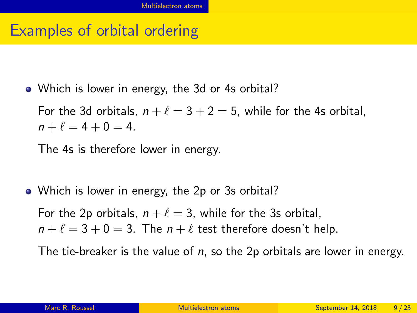#### Examples of orbital ordering

• Which is lower in energy, the 3d or 4s orbital?

For the 3d orbitals,  $n + \ell = 3 + 2 = 5$ , while for the 4s orbital,  $n + \ell = 4 + 0 = 4.$ 

The 4s is therefore lower in energy.

• Which is lower in energy, the 2p or 3s orbital?

For the 2p orbitals,  $n + \ell = 3$ , while for the 3s orbital,  $n + \ell = 3 + 0 = 3$ . The  $n + \ell$  test therefore doesn't help.

The tie-breaker is the value of  $n$ , so the 2p orbitals are lower in energy.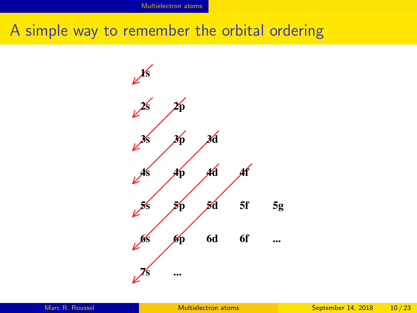## A simple way to remember the orbital ordering

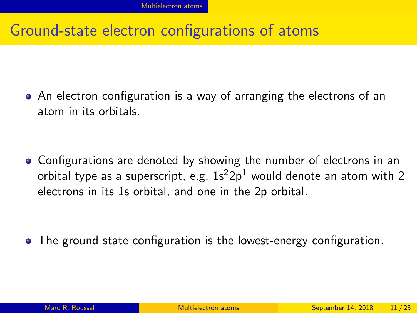## Ground-state electron configurations of atoms

An electron configuration is a way of arranging the electrons of an atom in its orbitals.

• Configurations are denoted by showing the number of electrons in an orbital type as a superscript, e.g.  $1s^22p^1$  would denote an atom with 2 electrons in its 1s orbital, and one in the 2p orbital.

The ground state configuration is the lowest-energy configuration.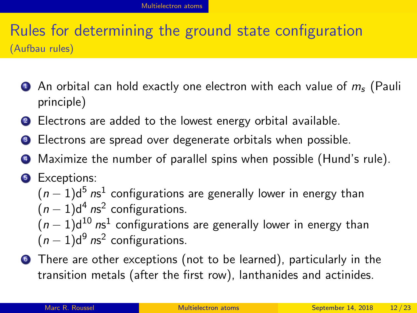## Rules for determining the ground state configuration (Aufbau rules)

- **1** An orbital can hold exactly one electron with each value of  $m_s$  (Pauli principle)
- <sup>2</sup> Electrons are added to the lowest energy orbital available.
- **3** Electrons are spread over degenerate orbitals when possible.
- <sup>4</sup> Maximize the number of parallel spins when possible (Hund's rule).

#### **5** Exceptions:  $(n-1){\sf d}^{5}$   ${\sf ns}^{1}$  configurations are generally lower in energy than  $(n-1)d^4$  ns<sup>2</sup> configurations.  $(n-1){\sf d}^{10}$   ${\sf ns}^1$  configurations are generally lower in energy than  $(n-1)d^9$  ns<sup>2</sup> configurations.

**•** There are other exceptions (not to be learned), particularly in the transition metals (after the first row), lanthanides and actinides.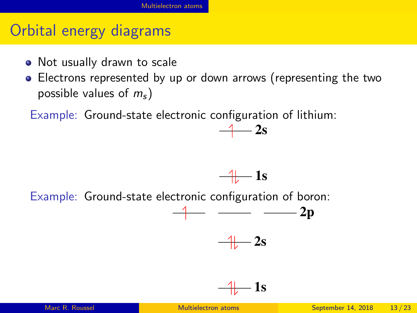# Orbital energy diagrams

- Not usually drawn to scale
- Electrons represented by up or down arrows (representing the two possible values of  $m_s$ )

Example: Ground-state electronic configuration of lithium:

Example: Ground-state electronic configuration of boron:

$$
-4 - 2p
$$
\n
$$
-4 - 2s
$$

 $-4-1s$ 

 $-4$  2s

$$
\frac{4}{\sqrt{2}} \text{ 1s}
$$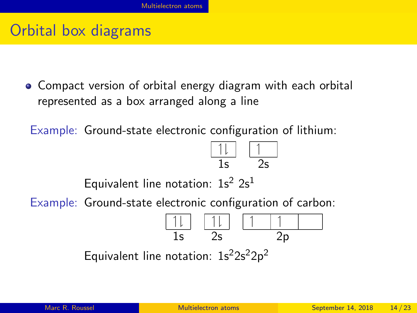## Orbital box diagrams

Compact version of orbital energy diagram with each orbital represented as a box arranged along a line

Example: Ground-state electronic configuration of lithium:

$$
\begin{array}{c|cc}\n\hline\n11 & 1 \\
\hline\n15 & 25\n\end{array}
$$

Equivalent line notation:  $1s^2 2s^1$ 

Example: Ground-state electronic configuration of carbon:

$$
\begin{array}{|c|c|c|c|c|}\n\hline\n11 & 11 & 11 \\
\hline\n15 & 25 & 2p\n\end{array}
$$

Equivalent line notation:  $1s^22s^22p^2$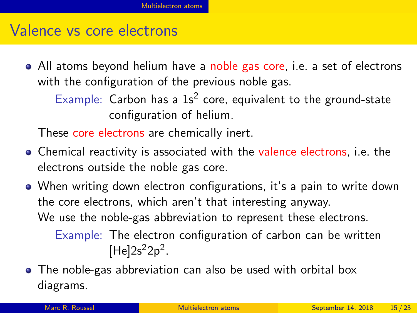#### Valence vs core electrons

• All atoms beyond helium have a noble gas core, i.e. a set of electrons with the configuration of the previous noble gas.

Example: Carbon has a  $1s<sup>2</sup>$  core, equivalent to the ground-state configuration of helium.

These core electrons are chemically inert.

- Chemical reactivity is associated with the valence electrons, i.e. the electrons outside the noble gas core.
- When writing down electron configurations, it's a pain to write down the core electrons, which aren't that interesting anyway. We use the noble-gas abbreviation to represent these electrons. Example: The electron configuration of carbon can be written  $[He]2s^22p^2$ .
- The noble-gas abbreviation can also be used with orbital box diagrams.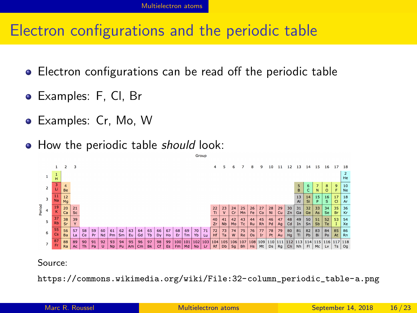## Electron configurations and the periodic table

- Electron configurations can be read off the periodic table
- Examples: F, Cl, Br
- Examples: Cr, Mo, W
- How the periodic table should look:



#### Source:

[https://commons.wikimedia.org/wiki/File:32-column\\_periodic\\_table-a.png](https://commons.wikimedia.org/wiki/File:32-column_periodic_table-a.png)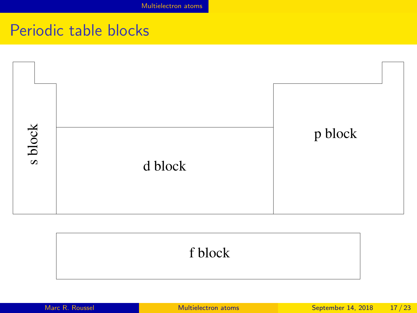[Multielectron atoms](#page-5-0)

## Periodic table blocks



#### f block

|  |  | Marc R. Roussel |
|--|--|-----------------|
|  |  |                 |
|  |  |                 |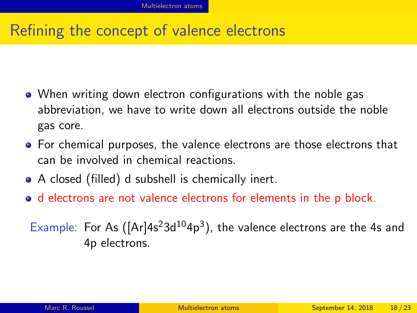# Refining the concept of valence electrons

- When writing down electron configurations with the noble gas abbreviation, we have to write down all electrons outside the noble gas core.
- For chemical purposes, the valence electrons are those electrons that can be involved in chemical reactions.
- A closed (filled) d subshell is chemically inert.
- d electrons are not valence electrons for elements in the p block.

Example: For As  $([Ar]4s<sup>2</sup>3d<sup>10</sup>4p<sup>3</sup>)$ , the valence electrons are the 4s and 4p electrons.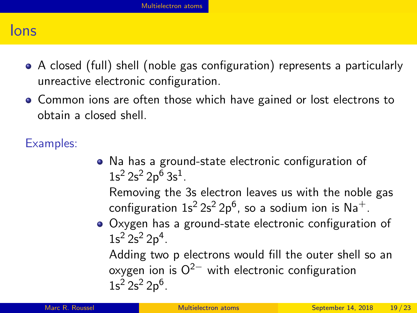#### Ions

- A closed (full) shell (noble gas configuration) represents a particularly unreactive electronic configuration.
- Common ions are often those which have gained or lost electrons to obtain a closed shell.

Examples:

Na has a ground-state electronic configuration of  $1s^2 2s^2 2p^6 3s^1$ .

Removing the 3s electron leaves us with the noble gas configuration 1s $^2$  2s $^2$  2p $^6$ , so a sodium ion is Na $^+$ .

Oxygen has a ground-state electronic configuration of  $1s^2 2s^2 2p^4$ .

Adding two p electrons would fill the outer shell so an oxygen ion is  $O^{2-}$  with electronic configuration  $1s^2 2s^2 2p^6$ .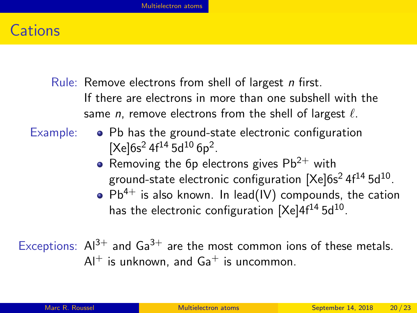#### **Cations**

- Rule: Remove electrons from shell of largest n first. If there are electrons in more than one subshell with the same *n*, remove electrons from the shell of largest  $\ell$ .
- 
- Example:  $\bullet$  Pb has the ground-state electronic configuration  $[Xe]$ 6s<sup>2</sup> 4f<sup>14</sup> 5d<sup>10</sup> 6p<sup>2</sup>.
	- Removing the 6p electrons gives  $Pb^{2+}$  with ground-state electronic configuration  $[{\sf Xe}]$ 6s $^2$  4f $^{14}$  5d $^{10}$ .
	- $\bullet$  Pb<sup>4+</sup> is also known. In lead(IV) compounds, the cation has the electronic configuration [Xe]4f $^{14}$ 5d $^{10}$ .

Exceptions:  $Al^{3+}$  and  $Ga^{3+}$  are the most common ions of these metals.  $Al^+$  is unknown, and  $Ga^+$  is uncommon.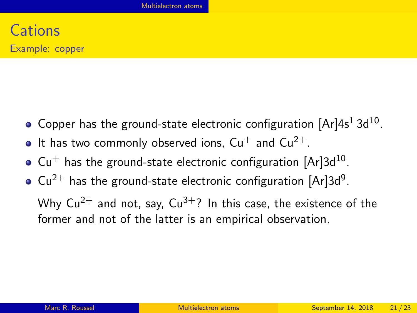- Copper has the ground-state electronic configuration  $[Ar]4s^13d^{10}$ .
- $\bullet$  It has two commonly observed ions,  $Cu^+$  and  $Cu^{2+}$ .
- $\mathrm{Cu^+}$  has the ground-state electronic configuration  $[\mathrm{Ar}]3\mathrm{d}^{10}.$
- $Cu^{2+}$  has the ground-state electronic configuration [Ar]3d<sup>9</sup>.

Why  $Cu^{2+}$  and not, say,  $Cu^{3+}$ ? In this case, the existence of the former and not of the latter is an empirical observation.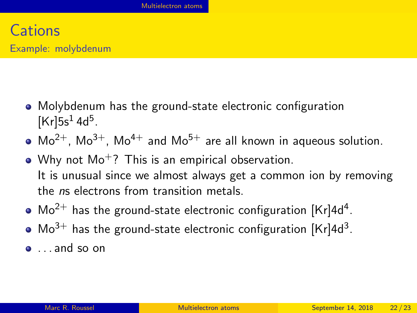- Molybdenum has the ground-state electronic configuration  $[Kr]$ 5s<sup>1</sup> 4d<sup>5</sup>.
- $Mo^{2+}$ ,  $Mo^{3+}$ ,  $Mo^{4+}$  and  $Mo^{5+}$  are all known in aqueous solution.
- Why not  $Mo^{+}$ ? This is an empirical observation. It is unusual since we almost always get a common ion by removing the ns electrons from transition metals.
- $\textsf{Mo}^{2+}$  has the ground-state electronic configuration [Kr]4d<sup>4</sup>.
- $Mo^{3+}$  has the ground-state electronic configuration  $[Kr]$ 4d<sup>3</sup>.
- $\bullet$  and so on